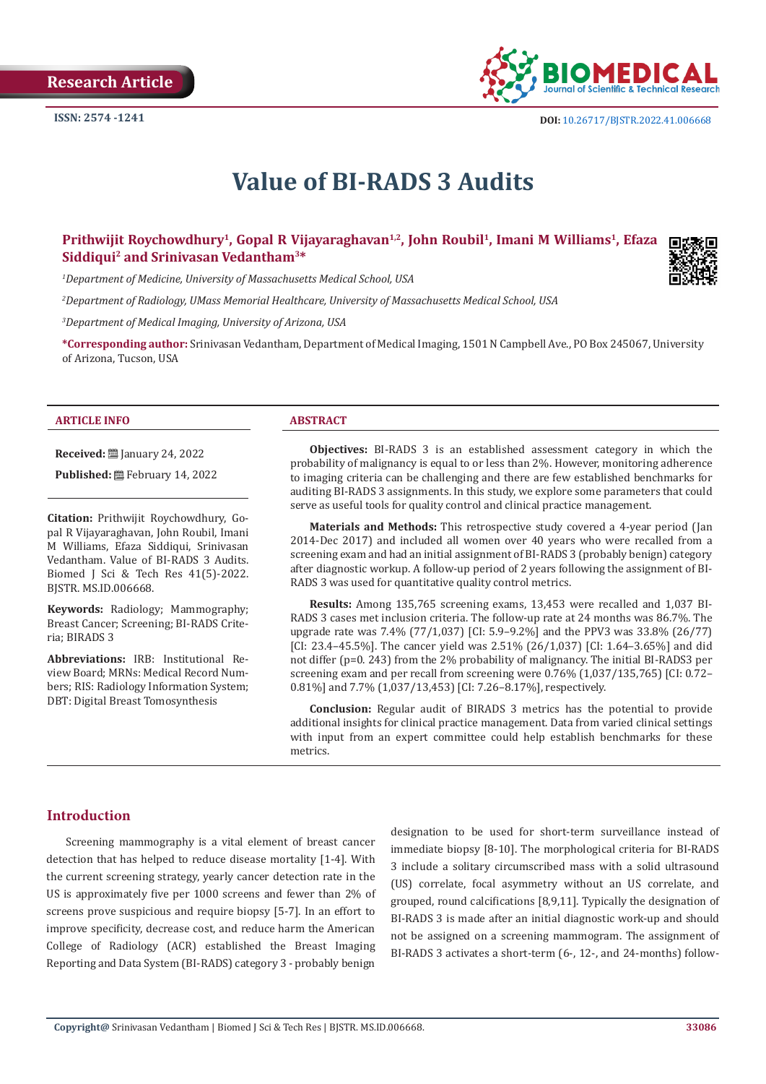

**ISSN:** 2574 -1241 **DOI:** [10.26717/BJSTR.2022.41.006668](https://dx.doi.org/10.26717/BJSTR.2022.41.006668)

# **Value of BI-RADS 3 Audits**

# **Prithwijit Roychowdhury1, Gopal R Vijayaraghavan1,2, John Roubil1, Imani M Williams1, Efaza Siddiqui2 and Srinivasan Vedantham3\***

*1 Department of Medicine, University of Massachusetts Medical School, USA*

*2 Department of Radiology, UMass Memorial Healthcare, University of Massachusetts Medical School, USA*

*3 Department of Medical Imaging, University of Arizona, USA*

**\*Corresponding author:** Srinivasan Vedantham, Department of Medical Imaging, 1501 N Campbell Ave., PO Box 245067, University of Arizona, Tucson, USA

#### **ARTICLE INFO ABSTRACT**

**Received:** [2011] January 24, 2022

**Published:** February 14, 2022

**Citation:** Prithwijit Roychowdhury, Gopal R Vijayaraghavan, John Roubil, Imani M Williams, Efaza Siddiqui, Srinivasan Vedantham. Value of BI-RADS 3 Audits. Biomed J Sci & Tech Res 41(5)-2022. BJSTR. MS.ID.006668.

**Keywords:** Radiology; Mammography; Breast Cancer; Screening; BI-RADS Criteria; BIRADS 3

**Abbreviations:** IRB: Institutional Review Board; MRNs: Medical Record Numbers; RIS: Radiology Information System; DBT: Digital Breast Tomosynthesis

**Objectives:** BI-RADS 3 is an established assessment category in which the probability of malignancy is equal to or less than 2%. However, monitoring adherence to imaging criteria can be challenging and there are few established benchmarks for auditing BI-RADS 3 assignments. In this study, we explore some parameters that could serve as useful tools for quality control and clinical practice management.

**Materials and Methods:** This retrospective study covered a 4-year period (Jan 2014-Dec 2017) and included all women over 40 years who were recalled from a screening exam and had an initial assignment of BI-RADS 3 (probably benign) category after diagnostic workup. A follow-up period of 2 years following the assignment of BI-RADS 3 was used for quantitative quality control metrics.

**Results:** Among 135,765 screening exams, 13,453 were recalled and 1,037 BI-RADS 3 cases met inclusion criteria. The follow-up rate at 24 months was 86.7%. The upgrade rate was 7.4% (77/1,037) [CI: 5.9–9.2%] and the PPV3 was 33.8% (26/77) [CI: 23.4–45.5%]. The cancer yield was 2.51% (26/1,037) [CI: 1.64–3.65%] and did not differ (p=0. 243) from the 2% probability of malignancy. The initial BI-RADS3 per screening exam and per recall from screening were 0.76% (1,037/135,765) [CI: 0.72– 0.81%] and 7.7% (1,037/13,453) [CI: 7.26–8.17%], respectively.

**Conclusion:** Regular audit of BIRADS 3 metrics has the potential to provide additional insights for clinical practice management. Data from varied clinical settings with input from an expert committee could help establish benchmarks for these metrics.

# **Introduction**

Screening mammography is a vital element of breast cancer detection that has helped to reduce disease mortality [1-4]. With the current screening strategy, yearly cancer detection rate in the US is approximately five per 1000 screens and fewer than 2% of screens prove suspicious and require biopsy [5-7]. In an effort to improve specificity, decrease cost, and reduce harm the American College of Radiology (ACR) established the Breast Imaging Reporting and Data System (BI-RADS) category 3 - probably benign

designation to be used for short-term surveillance instead of immediate biopsy [8-10]. The morphological criteria for BI-RADS 3 include a solitary circumscribed mass with a solid ultrasound (US) correlate, focal asymmetry without an US correlate, and grouped, round calcifications [8,9,11]. Typically the designation of BI-RADS 3 is made after an initial diagnostic work-up and should not be assigned on a screening mammogram. The assignment of BI-RADS 3 activates a short-term (6-, 12-, and 24-months) follow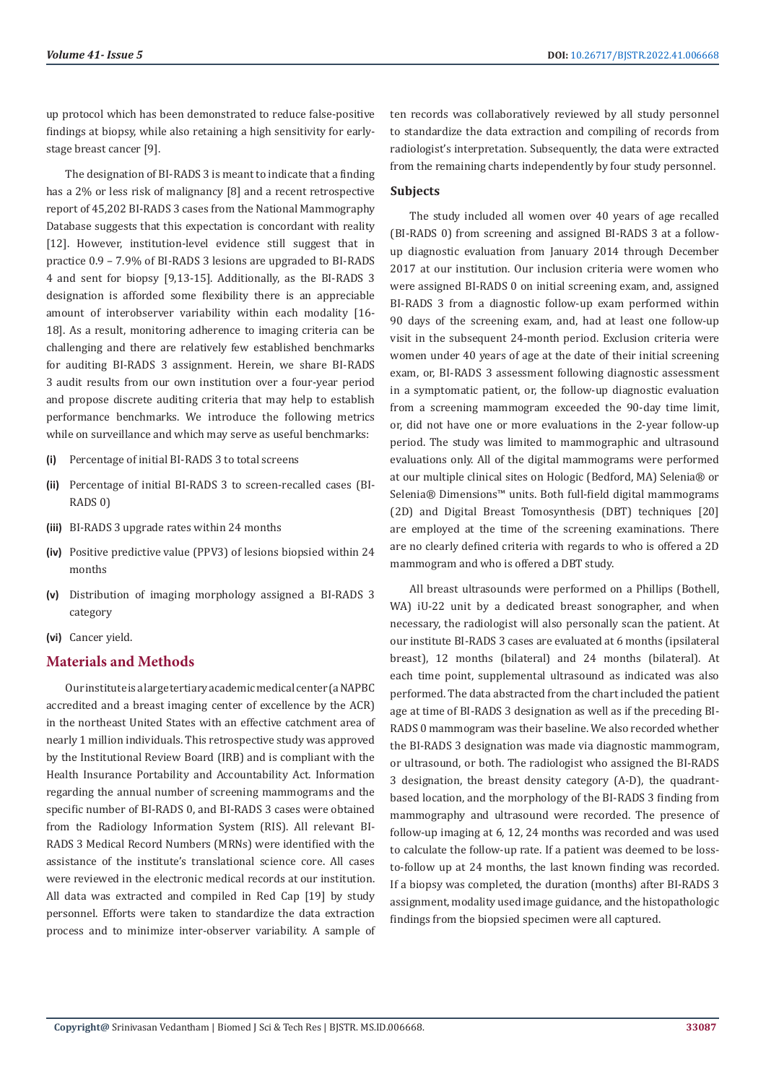up protocol which has been demonstrated to reduce false-positive findings at biopsy, while also retaining a high sensitivity for earlystage breast cancer [9].

The designation of BI-RADS 3 is meant to indicate that a finding has a 2% or less risk of malignancy [8] and a recent retrospective report of 45,202 BI-RADS 3 cases from the National Mammography Database suggests that this expectation is concordant with reality [12]. However, institution-level evidence still suggest that in practice 0.9 – 7.9% of BI-RADS 3 lesions are upgraded to BI-RADS 4 and sent for biopsy [9,13-15]. Additionally, as the BI-RADS 3 designation is afforded some flexibility there is an appreciable amount of interobserver variability within each modality [16- 18]. As a result, monitoring adherence to imaging criteria can be challenging and there are relatively few established benchmarks for auditing BI-RADS 3 assignment. Herein, we share BI-RADS 3 audit results from our own institution over a four-year period and propose discrete auditing criteria that may help to establish performance benchmarks. We introduce the following metrics while on surveillance and which may serve as useful benchmarks:

- **(i)** Percentage of initial BI-RADS 3 to total screens
- **(ii)** Percentage of initial BI-RADS 3 to screen-recalled cases (BI-RADS 0)
- **(iii)** BI-RADS 3 upgrade rates within 24 months
- **(iv)** Positive predictive value (PPV3) of lesions biopsied within 24 months
- **(v)** Distribution of imaging morphology assigned a BI-RADS 3 category
- **(vi)** Cancer yield.

# **Materials and Methods**

Our institute is a large tertiary academic medical center (a NAPBC accredited and a breast imaging center of excellence by the ACR) in the northeast United States with an effective catchment area of nearly 1 million individuals. This retrospective study was approved by the Institutional Review Board (IRB) and is compliant with the Health Insurance Portability and Accountability Act. Information regarding the annual number of screening mammograms and the specific number of BI-RADS 0, and BI-RADS 3 cases were obtained from the Radiology Information System (RIS). All relevant BI-RADS 3 Medical Record Numbers (MRNs) were identified with the assistance of the institute's translational science core. All cases were reviewed in the electronic medical records at our institution. All data was extracted and compiled in Red Cap [19] by study personnel. Efforts were taken to standardize the data extraction process and to minimize inter-observer variability. A sample of ten records was collaboratively reviewed by all study personnel to standardize the data extraction and compiling of records from radiologist's interpretation. Subsequently, the data were extracted from the remaining charts independently by four study personnel.

#### **Subjects**

The study included all women over 40 years of age recalled (BI-RADS 0) from screening and assigned BI-RADS 3 at a followup diagnostic evaluation from January 2014 through December 2017 at our institution. Our inclusion criteria were women who were assigned BI-RADS 0 on initial screening exam, and, assigned BI-RADS 3 from a diagnostic follow-up exam performed within 90 days of the screening exam, and, had at least one follow-up visit in the subsequent 24-month period. Exclusion criteria were women under 40 years of age at the date of their initial screening exam, or, BI-RADS 3 assessment following diagnostic assessment in a symptomatic patient, or, the follow-up diagnostic evaluation from a screening mammogram exceeded the 90-day time limit, or, did not have one or more evaluations in the 2-year follow-up period. The study was limited to mammographic and ultrasound evaluations only. All of the digital mammograms were performed at our multiple clinical sites on Hologic (Bedford, MA) Selenia® or Selenia® Dimensions™ units. Both full-field digital mammograms (2D) and Digital Breast Tomosynthesis (DBT) techniques [20] are employed at the time of the screening examinations. There are no clearly defined criteria with regards to who is offered a 2D mammogram and who is offered a DBT study.

All breast ultrasounds were performed on a Phillips (Bothell, WA) iU-22 unit by a dedicated breast sonographer, and when necessary, the radiologist will also personally scan the patient. At our institute BI-RADS 3 cases are evaluated at 6 months (ipsilateral breast), 12 months (bilateral) and 24 months (bilateral). At each time point, supplemental ultrasound as indicated was also performed. The data abstracted from the chart included the patient age at time of BI-RADS 3 designation as well as if the preceding BI-RADS 0 mammogram was their baseline. We also recorded whether the BI-RADS 3 designation was made via diagnostic mammogram, or ultrasound, or both. The radiologist who assigned the BI-RADS 3 designation, the breast density category (A-D), the quadrantbased location, and the morphology of the BI-RADS 3 finding from mammography and ultrasound were recorded. The presence of follow-up imaging at 6, 12, 24 months was recorded and was used to calculate the follow-up rate. If a patient was deemed to be lossto-follow up at 24 months, the last known finding was recorded. If a biopsy was completed, the duration (months) after BI-RADS 3 assignment, modality used image guidance, and the histopathologic findings from the biopsied specimen were all captured.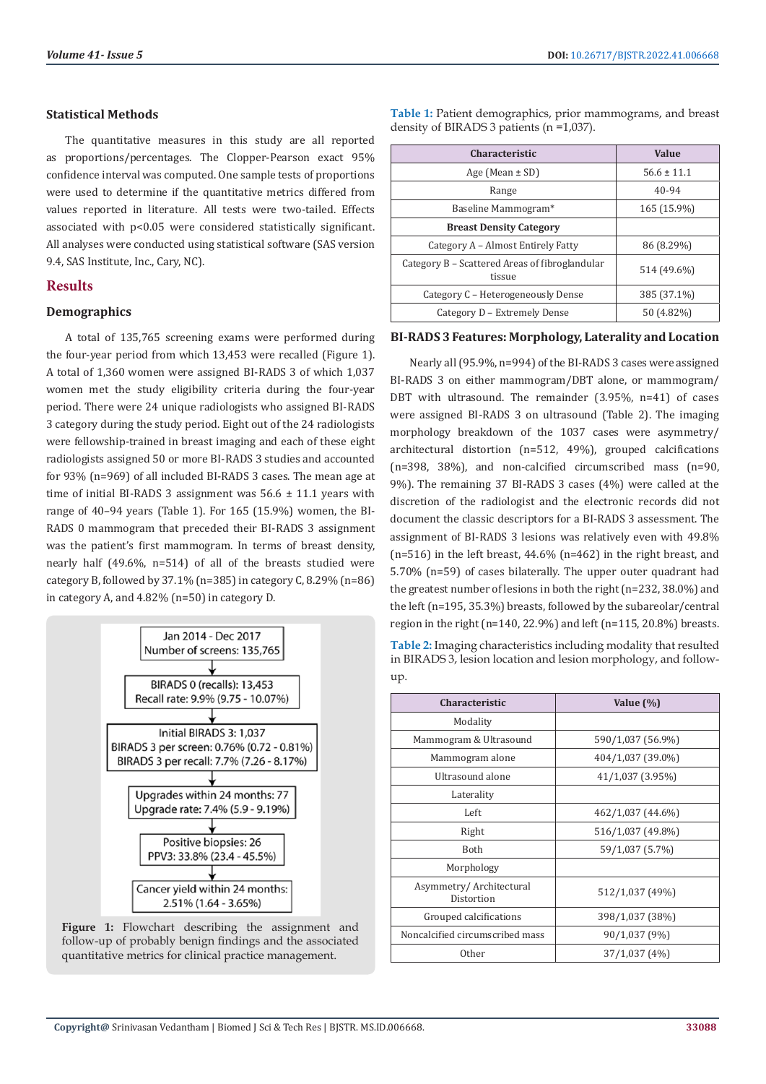#### **Statistical Methods**

The quantitative measures in this study are all reported as proportions/percentages. The Clopper-Pearson exact 95% confidence interval was computed. One sample tests of proportions were used to determine if the quantitative metrics differed from values reported in literature. All tests were two-tailed. Effects associated with p<0.05 were considered statistically significant. All analyses were conducted using statistical software (SAS version 9.4, SAS Institute, Inc., Cary, NC).

# **Results**

### **Demographics**

A total of 135,765 screening exams were performed during the four-year period from which 13,453 were recalled (Figure 1). A total of 1,360 women were assigned BI-RADS 3 of which 1,037 women met the study eligibility criteria during the four-year period. There were 24 unique radiologists who assigned BI-RADS 3 category during the study period. Eight out of the 24 radiologists were fellowship-trained in breast imaging and each of these eight radiologists assigned 50 or more BI-RADS 3 studies and accounted for 93% (n=969) of all included BI-RADS 3 cases. The mean age at time of initial BI-RADS 3 assignment was  $56.6 \pm 11.1$  years with range of 40–94 years (Table 1). For 165 (15.9%) women, the BI-RADS 0 mammogram that preceded their BI-RADS 3 assignment was the patient's first mammogram. In terms of breast density, nearly half (49.6%, n=514) of all of the breasts studied were category B, followed by  $37.1\%$  (n=385) in category C, 8.29% (n=86) in category A, and 4.82% (n=50) in category D.



**Figure 1:** Flowchart describing the assignment and follow-up of probably benign findings and the associated quantitative metrics for clinical practice management.

**Table 1:** Patient demographics, prior mammograms, and breast density of BIRADS 3 patients (n =1,037).

| <b>Characteristic</b>                                    | Value           |
|----------------------------------------------------------|-----------------|
| Age (Mean $\pm$ SD)                                      | $56.6 \pm 11.1$ |
| Range                                                    | 40-94           |
| Baseline Mammogram*                                      | 165 (15.9%)     |
| <b>Breast Density Category</b>                           |                 |
| Category A - Almost Entirely Fatty                       | 86 (8.29%)      |
| Category B – Scattered Areas of fibroglandular<br>tissue | 514 (49.6%)     |
| Category C – Heterogeneously Dense                       | 385 (37.1%)     |
| Category D - Extremely Dense                             | 50 (4.82%)      |

# **BI-RADS 3 Features: Morphology, Laterality and Location**

Nearly all (95.9%, n=994) of the BI-RADS 3 cases were assigned BI-RADS 3 on either mammogram/DBT alone, or mammogram/ DBT with ultrasound. The remainder (3.95%, n=41) of cases were assigned BI-RADS 3 on ultrasound (Table 2). The imaging morphology breakdown of the 1037 cases were asymmetry/ architectural distortion (n=512, 49%), grouped calcifications (n=398, 38%), and non-calcified circumscribed mass (n=90, 9%). The remaining 37 BI-RADS 3 cases (4%) were called at the discretion of the radiologist and the electronic records did not document the classic descriptors for a BI-RADS 3 assessment. The assignment of BI-RADS 3 lesions was relatively even with 49.8% (n=516) in the left breast, 44.6% (n=462) in the right breast, and 5.70% (n=59) of cases bilaterally. The upper outer quadrant had the greatest number of lesions in both the right (n=232, 38.0%) and the left (n=195, 35.3%) breasts, followed by the subareolar/central region in the right (n=140, 22.9%) and left (n=115, 20.8%) breasts.

**Table 2:** Imaging characteristics including modality that resulted in BIRADS 3, lesion location and lesion morphology, and followup.

| <b>Characteristic</b>                 | Value $(\%)$      |
|---------------------------------------|-------------------|
| Modality                              |                   |
| Mammogram & Ultrasound                | 590/1,037 (56.9%) |
| Mammogram alone                       | 404/1,037 (39.0%) |
| Ultrasound alone                      | 41/1,037 (3.95%)  |
| Laterality                            |                   |
| Left                                  | 462/1,037 (44.6%) |
| Right                                 | 516/1,037 (49.8%) |
| <b>Both</b>                           | 59/1,037 (5.7%)   |
| Morphology                            |                   |
| Asymmetry/Architectural<br>Distortion | 512/1,037 (49%)   |
| Grouped calcifications                | 398/1,037 (38%)   |
| Noncalcified circumscribed mass       | 90/1,037 (9%)     |
| Other                                 | 37/1,037 (4%)     |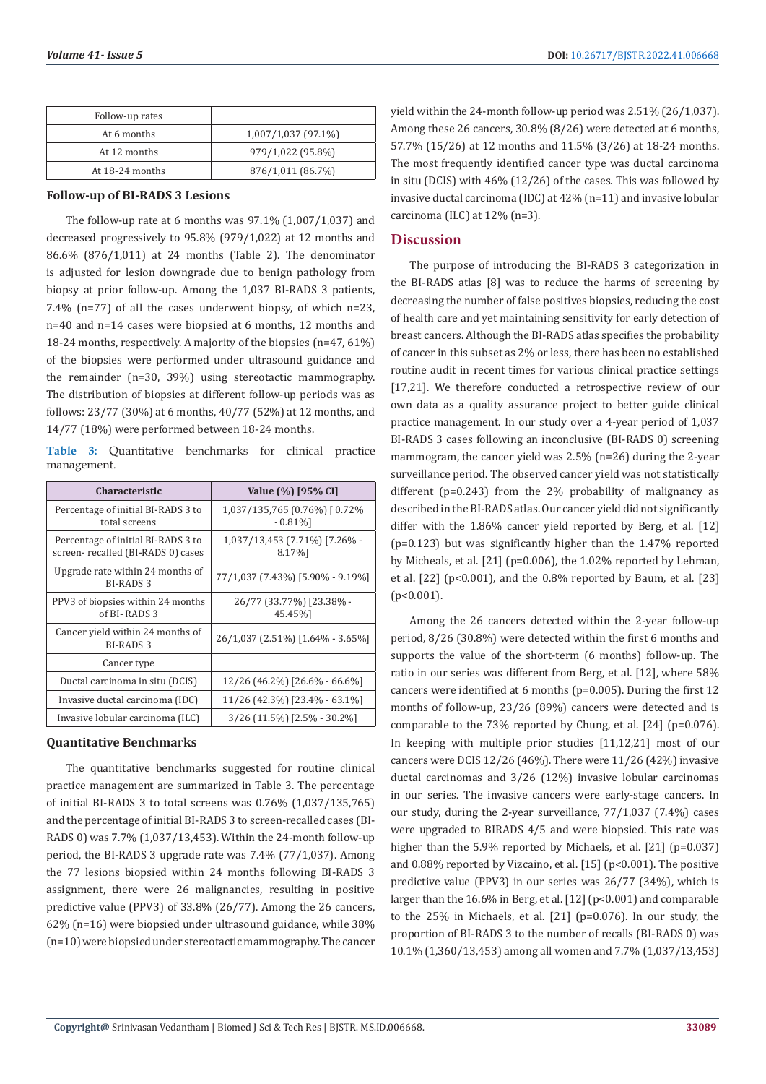| Follow-up rates |                     |
|-----------------|---------------------|
| At 6 months     | 1,007/1,037 (97.1%) |
| At 12 months    | 979/1,022 (95.8%)   |
| At 18-24 months | 876/1,011 (86.7%)   |

#### **Follow-up of BI-RADS 3 Lesions**

The follow-up rate at 6 months was  $97.1\%$  (1,007/1,037) and decreased progressively to 95.8% (979/1,022) at 12 months and 86.6% (876/1,011) at 24 months (Table 2). The denominator is adjusted for lesion downgrade due to benign pathology from biopsy at prior follow-up. Among the 1,037 BI-RADS 3 patients, 7.4% (n=77) of all the cases underwent biopsy, of which n=23, n=40 and n=14 cases were biopsied at 6 months, 12 months and 18-24 months, respectively. A majority of the biopsies (n=47, 61%) of the biopsies were performed under ultrasound guidance and the remainder (n=30, 39%) using stereotactic mammography. The distribution of biopsies at different follow-up periods was as follows: 23/77 (30%) at 6 months, 40/77 (52%) at 12 months, and 14/77 (18%) were performed between 18-24 months.

**Table 3:** Quantitative benchmarks for clinical practice management.

| <b>Characteristic</b>                                                   | Value (%) [95% CI]                          |
|-------------------------------------------------------------------------|---------------------------------------------|
| Percentage of initial BI-RADS 3 to<br>total screens                     | 1,037/135,765 (0.76%) [0.72%<br>$-0.81\%$ ] |
| Percentage of initial BI-RADS 3 to<br>screen-recalled (BI-RADS 0) cases | 1,037/13,453 (7.71%) [7.26% -<br>8.17%]     |
| Upgrade rate within 24 months of<br>BI-RADS 3                           | 77/1,037 (7.43%) [5.90% - 9.19%]            |
| PPV3 of biopsies within 24 months<br>of BI-RADS 3                       | 26/77 (33.77%) [23.38% -<br>45.45%]         |
| Cancer yield within 24 months of<br><b>BI-RADS 3</b>                    | 26/1,037 (2.51%) [1.64% - 3.65%]            |
| Cancer type                                                             |                                             |
| Ductal carcinoma in situ (DCIS)                                         | 12/26 (46.2%) [26.6% - 66.6%]               |
| Invasive ductal carcinoma (IDC)                                         | 11/26 (42.3%) [23.4% - 63.1%]               |
| Invasive lobular carcinoma (ILC)                                        | 3/26 (11.5%) [2.5% - 30.2%]                 |

### **Quantitative Benchmarks**

The quantitative benchmarks suggested for routine clinical practice management are summarized in Table 3. The percentage of initial BI-RADS 3 to total screens was 0.76% (1,037/135,765) and the percentage of initial BI-RADS 3 to screen-recalled cases (BI-RADS 0) was 7.7% (1,037/13,453). Within the 24-month follow-up period, the BI-RADS 3 upgrade rate was 7.4% (77/1,037). Among the 77 lesions biopsied within 24 months following BI-RADS 3 assignment, there were 26 malignancies, resulting in positive predictive value (PPV3) of 33.8% (26/77). Among the 26 cancers, 62% (n=16) were biopsied under ultrasound guidance, while 38% (n=10) were biopsied under stereotactic mammography. The cancer yield within the 24-month follow-up period was 2.51% (26/1,037). Among these 26 cancers, 30.8% (8/26) were detected at 6 months, 57.7% (15/26) at 12 months and 11.5% (3/26) at 18-24 months. The most frequently identified cancer type was ductal carcinoma in situ (DCIS) with 46% (12/26) of the cases. This was followed by invasive ductal carcinoma (IDC) at 42% (n=11) and invasive lobular carcinoma (ILC) at 12% (n=3).

### **Discussion**

The purpose of introducing the BI-RADS 3 categorization in the BI-RADS atlas [8] was to reduce the harms of screening by decreasing the number of false positives biopsies, reducing the cost of health care and yet maintaining sensitivity for early detection of breast cancers. Although the BI-RADS atlas specifies the probability of cancer in this subset as 2% or less, there has been no established routine audit in recent times for various clinical practice settings [17,21]. We therefore conducted a retrospective review of our own data as a quality assurance project to better guide clinical practice management. In our study over a 4-year period of 1,037 BI-RADS 3 cases following an inconclusive (BI-RADS 0) screening mammogram, the cancer yield was 2.5% (n=26) during the 2-year surveillance period. The observed cancer yield was not statistically different (p=0.243) from the 2% probability of malignancy as described in the BI-RADS atlas. Our cancer yield did not significantly differ with the 1.86% cancer yield reported by Berg, et al. [12] (p=0.123) but was significantly higher than the 1.47% reported by Micheals, et al. [21] (p=0.006), the 1.02% reported by Lehman, et al.  $[22]$  ( $p<0.001$ ), and the  $0.8\%$  reported by Baum, et al.  $[23]$ (p<0.001).

Among the 26 cancers detected within the 2-year follow-up period, 8/26 (30.8%) were detected within the first 6 months and supports the value of the short-term (6 months) follow-up. The ratio in our series was different from Berg, et al. [12], where 58% cancers were identified at 6 months (p=0.005). During the first 12 months of follow-up, 23/26 (89%) cancers were detected and is comparable to the 73% reported by Chung, et al. [24] (p=0.076). In keeping with multiple prior studies [11,12,21] most of our cancers were DCIS 12/26 (46%). There were 11/26 (42%) invasive ductal carcinomas and 3/26 (12%) invasive lobular carcinomas in our series. The invasive cancers were early-stage cancers. In our study, during the 2-year surveillance, 77/1,037 (7.4%) cases were upgraded to BIRADS 4/5 and were biopsied. This rate was higher than the 5.9% reported by Michaels, et al. [21] (p=0.037) and 0.88% reported by Vizcaino, et al. [15] (p<0.001). The positive predictive value (PPV3) in our series was 26/77 (34%), which is larger than the 16.6% in Berg, et al. [12] (p<0.001) and comparable to the 25% in Michaels, et al. [21] (p=0.076). In our study, the proportion of BI-RADS 3 to the number of recalls (BI-RADS 0) was 10.1% (1,360/13,453) among all women and 7.7% (1,037/13,453)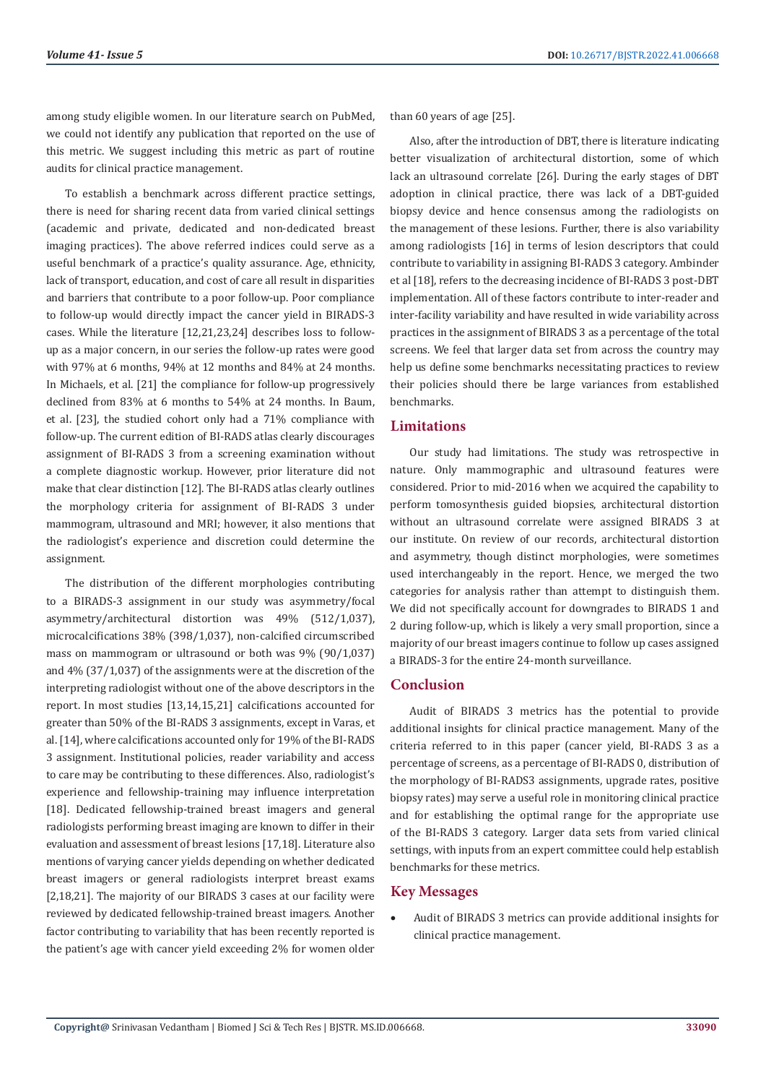among study eligible women. In our literature search on PubMed, we could not identify any publication that reported on the use of this metric. We suggest including this metric as part of routine audits for clinical practice management.

To establish a benchmark across different practice settings, there is need for sharing recent data from varied clinical settings (academic and private, dedicated and non-dedicated breast imaging practices). The above referred indices could serve as a useful benchmark of a practice's quality assurance. Age, ethnicity, lack of transport, education, and cost of care all result in disparities and barriers that contribute to a poor follow-up. Poor compliance to follow-up would directly impact the cancer yield in BIRADS-3 cases. While the literature [12,21,23,24] describes loss to followup as a major concern, in our series the follow-up rates were good with 97% at 6 months, 94% at 12 months and 84% at 24 months. In Michaels, et al. [21] the compliance for follow-up progressively declined from 83% at 6 months to 54% at 24 months. In Baum, et al. [23], the studied cohort only had a 71% compliance with follow-up. The current edition of BI-RADS atlas clearly discourages assignment of BI-RADS 3 from a screening examination without a complete diagnostic workup. However, prior literature did not make that clear distinction [12]. The BI-RADS atlas clearly outlines the morphology criteria for assignment of BI-RADS 3 under mammogram, ultrasound and MRI; however, it also mentions that the radiologist's experience and discretion could determine the assignment.

The distribution of the different morphologies contributing to a BIRADS-3 assignment in our study was asymmetry/focal asymmetry/architectural distortion was 49% (512/1,037), microcalcifications 38% (398/1,037), non-calcified circumscribed mass on mammogram or ultrasound or both was 9% (90/1,037) and 4% (37/1,037) of the assignments were at the discretion of the interpreting radiologist without one of the above descriptors in the report. In most studies [13,14,15,21] calcifications accounted for greater than 50% of the BI-RADS 3 assignments, except in Varas, et al. [14], where calcifications accounted only for 19% of the BI-RADS 3 assignment. Institutional policies, reader variability and access to care may be contributing to these differences. Also, radiologist's experience and fellowship-training may influence interpretation [18]. Dedicated fellowship-trained breast imagers and general radiologists performing breast imaging are known to differ in their evaluation and assessment of breast lesions [17,18]. Literature also mentions of varying cancer yields depending on whether dedicated breast imagers or general radiologists interpret breast exams [2,18,21]. The majority of our BIRADS 3 cases at our facility were reviewed by dedicated fellowship-trained breast imagers. Another factor contributing to variability that has been recently reported is the patient's age with cancer yield exceeding 2% for women older than 60 years of age [25].

Also, after the introduction of DBT, there is literature indicating better visualization of architectural distortion, some of which lack an ultrasound correlate [26]. During the early stages of DBT adoption in clinical practice, there was lack of a DBT-guided biopsy device and hence consensus among the radiologists on the management of these lesions. Further, there is also variability among radiologists [16] in terms of lesion descriptors that could contribute to variability in assigning BI-RADS 3 category. Ambinder et al [18], refers to the decreasing incidence of BI-RADS 3 post-DBT implementation. All of these factors contribute to inter-reader and inter-facility variability and have resulted in wide variability across practices in the assignment of BIRADS 3 as a percentage of the total screens. We feel that larger data set from across the country may help us define some benchmarks necessitating practices to review their policies should there be large variances from established benchmarks.

# **Limitations**

Our study had limitations. The study was retrospective in nature. Only mammographic and ultrasound features were considered. Prior to mid-2016 when we acquired the capability to perform tomosynthesis guided biopsies, architectural distortion without an ultrasound correlate were assigned BIRADS 3 at our institute. On review of our records, architectural distortion and asymmetry, though distinct morphologies, were sometimes used interchangeably in the report. Hence, we merged the two categories for analysis rather than attempt to distinguish them. We did not specifically account for downgrades to BIRADS 1 and 2 during follow-up, which is likely a very small proportion, since a majority of our breast imagers continue to follow up cases assigned a BIRADS-3 for the entire 24-month surveillance.

### **Conclusion**

Audit of BIRADS 3 metrics has the potential to provide additional insights for clinical practice management. Many of the criteria referred to in this paper (cancer yield, BI-RADS 3 as a percentage of screens, as a percentage of BI-RADS 0, distribution of the morphology of BI-RADS3 assignments, upgrade rates, positive biopsy rates) may serve a useful role in monitoring clinical practice and for establishing the optimal range for the appropriate use of the BI-RADS 3 category. Larger data sets from varied clinical settings, with inputs from an expert committee could help establish benchmarks for these metrics.

### **Key Messages**

Audit of BIRADS 3 metrics can provide additional insights for clinical practice management.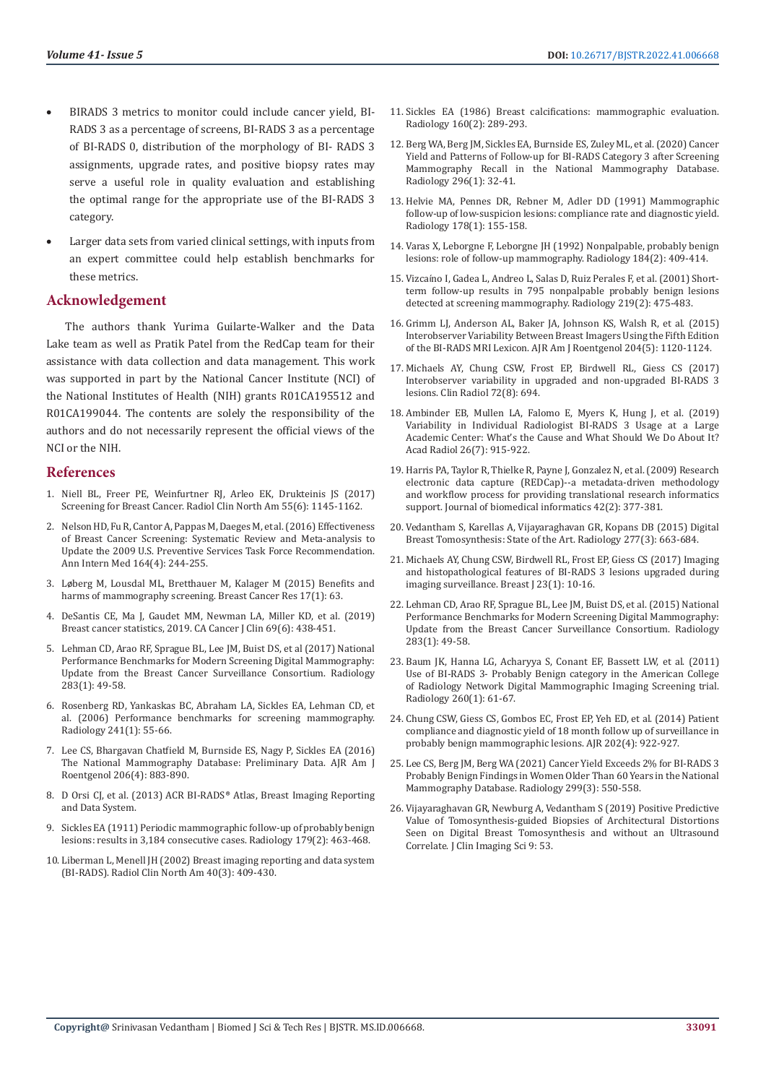- BIRADS 3 metrics to monitor could include cancer yield, BI-RADS 3 as a percentage of screens, BI-RADS 3 as a percentage of BI-RADS 0, distribution of the morphology of BI- RADS 3 assignments, upgrade rates, and positive biopsy rates may serve a useful role in quality evaluation and establishing the optimal range for the appropriate use of the BI-RADS 3 category.
- Larger data sets from varied clinical settings, with inputs from an expert committee could help establish benchmarks for these metrics.

# **Acknowledgement**

The authors thank Yurima Guilarte-Walker and the Data Lake team as well as Pratik Patel from the RedCap team for their assistance with data collection and data management. This work was supported in part by the National Cancer Institute (NCI) of the National Institutes of Health (NIH) grants R01CA195512 and R01CA199044. The contents are solely the responsibility of the authors and do not necessarily represent the official views of the NCI or the NIH.

#### **References**

- 1. Niell BL, Freer PE, Weinfurtner RJ, Arleo EK, Drukteinis JS (2017) Screening for Breast Cancer. Radiol Clin North Am 55(6): 1145-1162.
- 2. [Nelson HD, Fu R, Cantor A, Pappas M, Daeges M, et al. \(2016\) Effectiveness](https://pubmed.ncbi.nlm.nih.gov/26756588/)  [of Breast Cancer Screening: Systematic Review and Meta-analysis to](https://pubmed.ncbi.nlm.nih.gov/26756588/)  [Update the 2009 U.S. Preventive Services Task Force Recommendation.](https://pubmed.ncbi.nlm.nih.gov/26756588/)  [Ann Intern Med 164\(4\): 244-255.](https://pubmed.ncbi.nlm.nih.gov/26756588/)
- 3. Lø[berg M, Lousdal ML, Bretthauer M, Kalager M \(2015\) Benefits and](https://www.ncbi.nlm.nih.gov/labs/pmc/articles/PMC4415291/)  [harms of mammography screening. Breast Cancer Res 17\(1\): 63.](https://www.ncbi.nlm.nih.gov/labs/pmc/articles/PMC4415291/)
- 4. [DeSantis CE, Ma J, Gaudet MM, Newman LA, Miller KD, et al. \(2019\)](https://pubmed.ncbi.nlm.nih.gov/31577379/)  [Breast cancer statistics, 2019. CA Cancer J Clin 69\(6\): 438-451.](https://pubmed.ncbi.nlm.nih.gov/31577379/)
- 5. Lehman CD, Arao RF, Sprague BL, Lee JM, Buist DS, et al (2017) National Performance Benchmarks for Modern Screening Digital Mammography: Update from the Breast Cancer Surveillance Consortium. Radiology 283(1): 49-58.
- 6. [Rosenberg RD, Yankaskas BC, Abraham LA, Sickles EA, Lehman CD, et](https://pubmed.ncbi.nlm.nih.gov/16990671/)  [al. \(2006\) Performance benchmarks for screening mammography.](https://pubmed.ncbi.nlm.nih.gov/16990671/)  [Radiology 241\(1\): 55-66.](https://pubmed.ncbi.nlm.nih.gov/16990671/)
- 7. [Lee CS, Bhargavan Chatfield M, Burnside ES, Nagy P, Sickles EA \(2016\)](https://pubmed.ncbi.nlm.nih.gov/26866649/)  [The National Mammography Database: Preliminary Data. AJR Am J](https://pubmed.ncbi.nlm.nih.gov/26866649/)  [Roentgenol 206\(4\): 883-890.](https://pubmed.ncbi.nlm.nih.gov/26866649/)
- 8. D Orsi CJ, et al. (2013) ACR BI-RADS® Atlas, Breast Imaging Reporting and Data System.
- 9. [Sickles EA \(1911\) Periodic mammographic follow-up of probably benign](https://pubmed.ncbi.nlm.nih.gov/2014293/)  [lesions: results in 3,184 consecutive cases. Radiology 179\(2\): 463-468.](https://pubmed.ncbi.nlm.nih.gov/2014293/)
- 10. [Liberman L, Menell JH \(2002\) Breast imaging reporting and data system](https://radiopaedia.org/articles/breast-imaging-reporting-and-data-system-bi-rads)  [\(BI-RADS\). Radiol Clin North Am 40\(3\): 409-430.](https://radiopaedia.org/articles/breast-imaging-reporting-and-data-system-bi-rads)
- 11. [Sickles EA \(1986\) Breast calcifications: mammographic evaluation.](https://pubmed.ncbi.nlm.nih.gov/3726103/) [Radiology 160\(2\): 289-293.](https://pubmed.ncbi.nlm.nih.gov/3726103/)
- 12. Berg WA, Berg JM, Sickles EA, Burnside ES, Zuley ML, et al. (2020) Cancer Yield and Patterns of Follow-up for BI-RADS Category 3 after Screening Mammography Recall in the National Mammography Database. Radiology 296(1): 32-41.
- 13. Helvie MA, Pennes DR, Rebner M, Adler DD (1991) Mammographic follow-up of low-suspicion lesions: compliance rate and diagnostic yield. Radiology 178(1): 155-158.
- 14. [Varas X, Leborgne F, Leborgne JH \(1992\) Nonpalpable, probably benign](https://pubmed.ncbi.nlm.nih.gov/1620838/) [lesions: role of follow-up mammography. Radiology 184\(2\): 409-414.](https://pubmed.ncbi.nlm.nih.gov/1620838/)
- 15. Vizcaíno I, Gadea L, Andreo L, Salas D, Ruiz Perales F, et al. (2001) Shortterm follow-up results in 795 nonpalpable probably benign lesions detected at screening mammography. Radiology 219(2): 475-483.
- 16. Grimm LJ, Anderson AL, Baker JA, Johnson KS, Walsh R, et al. (2015) Interobserver Variability Between Breast Imagers Using the Fifth Edition of the BI-RADS MRI Lexicon. AJR Am J Roentgenol 204(5): 1120-1124.
- 17. [Michaels AY, Chung CSW, Frost EP, Birdwell RL, Giess CS \(2017\)](https://pubmed.ncbi.nlm.nih.gov/28381334/) [Interobserver variability in upgraded and non-upgraded BI-RADS 3](https://pubmed.ncbi.nlm.nih.gov/28381334/) [lesions. Clin Radiol 72\(8\): 694.](https://pubmed.ncbi.nlm.nih.gov/28381334/)
- 18. [Ambinder EB, Mullen LA, Falomo E, Myers K, Hung J, et al. \(2019\)](https://pubmed.ncbi.nlm.nih.gov/30268720/) [Variability in Individual Radiologist BI-RADS 3 Usage at a Large](https://pubmed.ncbi.nlm.nih.gov/30268720/) [Academic Center: What's the Cause and What Should We Do About It?](https://pubmed.ncbi.nlm.nih.gov/30268720/) [Acad Radiol 26\(7\): 915-922.](https://pubmed.ncbi.nlm.nih.gov/30268720/)
- 19. [Harris PA, Taylor R, Thielke R, Payne J, Gonzalez N, et al. \(2009\) Research](https://pubmed.ncbi.nlm.nih.gov/18929686/) [electronic data capture \(REDCap\)--a metadata-driven methodology](https://pubmed.ncbi.nlm.nih.gov/18929686/) [and workflow process for providing translational research informatics](https://pubmed.ncbi.nlm.nih.gov/18929686/) [support. Journal of biomedical informatics 42\(2\): 377-381.](https://pubmed.ncbi.nlm.nih.gov/18929686/)
- 20. [Vedantham S, Karellas A, Vijayaraghavan GR, Kopans DB \(2015\) Digital](https://pubmed.ncbi.nlm.nih.gov/26599926/) [Breast Tomosynthesis: State of the Art. Radiology 277\(3\): 663-684.](https://pubmed.ncbi.nlm.nih.gov/26599926/)
- 21. Michaels AY, Chung CSW, Birdwell RL, Frost EP, Giess CS (2017) Imaging and histopathological features of BI-RADS 3 lesions upgraded during imaging surveillance. Breast J 23(1): 10-16.
- 22. Lehman CD, Arao RF, Sprague BL, Lee JM, Buist DS, et al. (2015) National Performance Benchmarks for Modern Screening Digital Mammography: Update from the Breast Cancer Surveillance Consortium. Radiology 283(1): 49-58.
- 23. [Baum JK, Hanna LG, Acharyya S, Conant EF, Bassett LW, et al. \(2011\)](https://pubmed.ncbi.nlm.nih.gov/21502382/) [Use of BI-RADS 3- Probably Benign category in the American College](https://pubmed.ncbi.nlm.nih.gov/21502382/) [of Radiology Network Digital Mammographic Imaging Screening trial.](https://pubmed.ncbi.nlm.nih.gov/21502382/) [Radiology 260\(1\): 61-67.](https://pubmed.ncbi.nlm.nih.gov/21502382/)
- 24. [Chung CSW, Giess CS, Gombos EC, Frost EP, Yeh ED, et al. \(2014\) Patient](https://pubmed.ncbi.nlm.nih.gov/24660725/) [compliance and diagnostic yield of 18 month follow up of surveillance in](https://pubmed.ncbi.nlm.nih.gov/24660725/) [probably benign mammographic lesions. AJR 202\(4\): 922-927.](https://pubmed.ncbi.nlm.nih.gov/24660725/)
- 25. [Lee CS, Berg JM, Berg WA \(2021\) Cancer Yield Exceeds 2% for BI-RADS 3](https://pubmed.ncbi.nlm.nih.gov/33787333/) [Probably Benign Findings in Women Older Than 60 Years in the National](https://pubmed.ncbi.nlm.nih.gov/33787333/) [Mammography Database. Radiology 299\(3\): 550-558.](https://pubmed.ncbi.nlm.nih.gov/33787333/)
- 26. Vijayaraghavan GR, Newburg A, Vedantham S (2019) Positive Predictive Value of Tomosynthesis-guided Biopsies of Architectural Distortions Seen on Digital Breast Tomosynthesis and without an Ultrasound Correlate. J Clin Imaging Sci 9: 53.